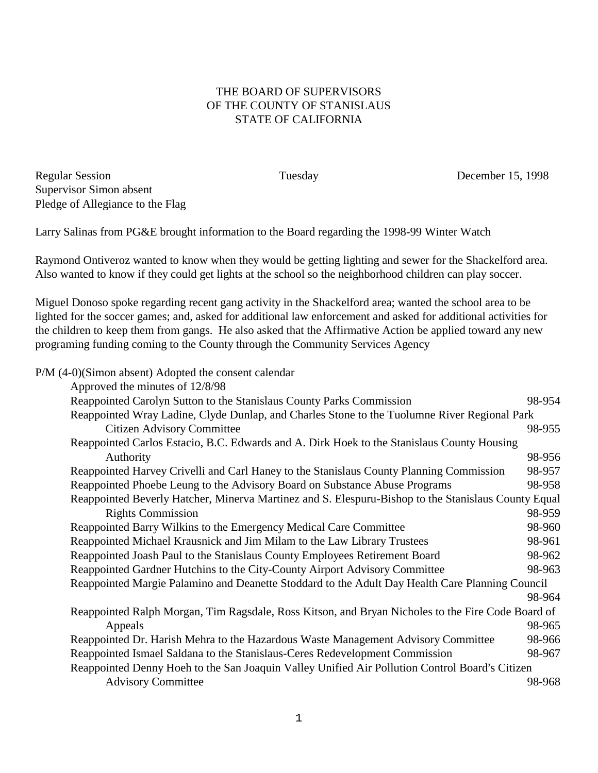## THE BOARD OF SUPERVISORS OF THE COUNTY OF STANISLAUS STATE OF CALIFORNIA

Regular Session Tuesday December 15, 1998 Supervisor Simon absent Pledge of Allegiance to the Flag

Larry Salinas from PG&E brought information to the Board regarding the 1998-99 Winter Watch

Raymond Ontiveroz wanted to know when they would be getting lighting and sewer for the Shackelford area. Also wanted to know if they could get lights at the school so the neighborhood children can play soccer.

Miguel Donoso spoke regarding recent gang activity in the Shackelford area; wanted the school area to be lighted for the soccer games; and, asked for additional law enforcement and asked for additional activities for the children to keep them from gangs. He also asked that the Affirmative Action be applied toward any new programing funding coming to the County through the Community Services Agency

| P/M (4-0)(Simon absent) Adopted the consent calendar                                                |        |
|-----------------------------------------------------------------------------------------------------|--------|
| Approved the minutes of 12/8/98                                                                     |        |
| Reappointed Carolyn Sutton to the Stanislaus County Parks Commission                                | 98-954 |
| Reappointed Wray Ladine, Clyde Dunlap, and Charles Stone to the Tuolumne River Regional Park        |        |
| <b>Citizen Advisory Committee</b>                                                                   | 98-955 |
| Reappointed Carlos Estacio, B.C. Edwards and A. Dirk Hoek to the Stanislaus County Housing          |        |
| Authority                                                                                           | 98-956 |
| Reappointed Harvey Crivelli and Carl Haney to the Stanislaus County Planning Commission             | 98-957 |
| Reappointed Phoebe Leung to the Advisory Board on Substance Abuse Programs                          | 98-958 |
| Reappointed Beverly Hatcher, Minerva Martinez and S. Elespuru-Bishop to the Stanislaus County Equal |        |
| <b>Rights Commission</b>                                                                            | 98-959 |
| Reappointed Barry Wilkins to the Emergency Medical Care Committee                                   | 98-960 |
| Reappointed Michael Krausnick and Jim Milam to the Law Library Trustees                             | 98-961 |
| Reappointed Joash Paul to the Stanislaus County Employees Retirement Board                          | 98-962 |
| Reappointed Gardner Hutchins to the City-County Airport Advisory Committee                          | 98-963 |
| Reappointed Margie Palamino and Deanette Stoddard to the Adult Day Health Care Planning Council     |        |
|                                                                                                     | 98-964 |
| Reappointed Ralph Morgan, Tim Ragsdale, Ross Kitson, and Bryan Nicholes to the Fire Code Board of   |        |
| Appeals                                                                                             | 98-965 |
| Reappointed Dr. Harish Mehra to the Hazardous Waste Management Advisory Committee                   | 98-966 |
| Reappointed Ismael Saldana to the Stanislaus-Ceres Redevelopment Commission                         | 98-967 |
| Reappointed Denny Hoeh to the San Joaquin Valley Unified Air Pollution Control Board's Citizen      |        |
| <b>Advisory Committee</b>                                                                           | 98-968 |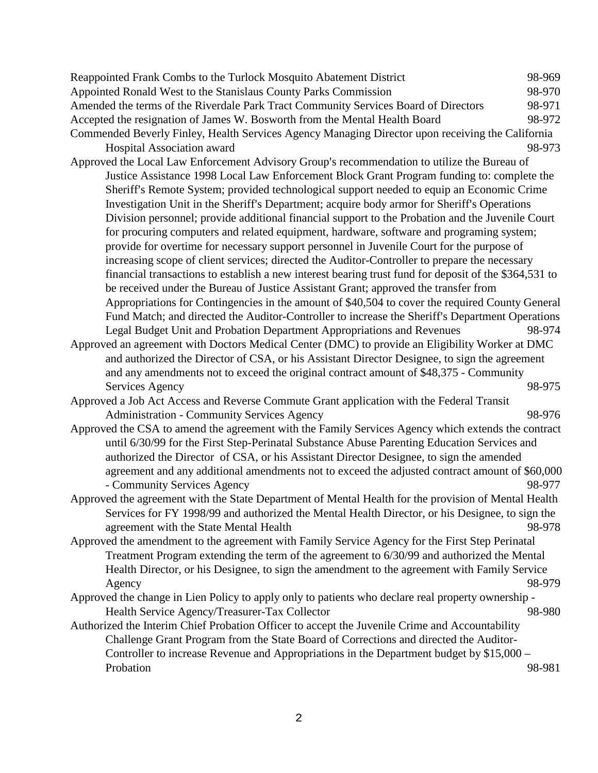| Reappointed Frank Combs to the Turlock Mosquito Abatement District                                    | 98-969 |
|-------------------------------------------------------------------------------------------------------|--------|
| Appointed Ronald West to the Stanislaus County Parks Commission                                       | 98-970 |
| Amended the terms of the Riverdale Park Tract Community Services Board of Directors                   | 98-971 |
| Accepted the resignation of James W. Bosworth from the Mental Health Board                            | 98-972 |
| Commended Beverly Finley, Health Services Agency Managing Director upon receiving the California      |        |
| Hospital Association award                                                                            | 98-973 |
| Approved the Local Law Enforcement Advisory Group's recommendation to utilize the Bureau of           |        |
| Justice Assistance 1998 Local Law Enforcement Block Grant Program funding to: complete the            |        |
| Sheriff's Remote System; provided technological support needed to equip an Economic Crime             |        |
| Investigation Unit in the Sheriff's Department; acquire body armor for Sheriff's Operations           |        |
| Division personnel; provide additional financial support to the Probation and the Juvenile Court      |        |
| for procuring computers and related equipment, hardware, software and programing system;              |        |
| provide for overtime for necessary support personnel in Juvenile Court for the purpose of             |        |
| increasing scope of client services; directed the Auditor-Controller to prepare the necessary         |        |
| financial transactions to establish a new interest bearing trust fund for deposit of the \$364,531 to |        |
| be received under the Bureau of Justice Assistant Grant; approved the transfer from                   |        |
| Appropriations for Contingencies in the amount of \$40,504 to cover the required County General       |        |
| Fund Match; and directed the Auditor-Controller to increase the Sheriff's Department Operations       |        |
| Legal Budget Unit and Probation Department Appropriations and Revenues                                | 98-974 |
| Approved an agreement with Doctors Medical Center (DMC) to provide an Eligibility Worker at DMC       |        |
| and authorized the Director of CSA, or his Assistant Director Designee, to sign the agreement         |        |
| and any amendments not to exceed the original contract amount of \$48,375 - Community                 |        |
| Services Agency                                                                                       | 98-975 |
| Approved a Job Act Access and Reverse Commute Grant application with the Federal Transit              |        |
| <b>Administration - Community Services Agency</b>                                                     | 98-976 |
| Approved the CSA to amend the agreement with the Family Services Agency which extends the contract    |        |
| until 6/30/99 for the First Step-Perinatal Substance Abuse Parenting Education Services and           |        |
| authorized the Director of CSA, or his Assistant Director Designee, to sign the amended               |        |
| agreement and any additional amendments not to exceed the adjusted contract amount of \$60,000        |        |
| - Community Services Agency                                                                           | 98-977 |
| Approved the agreement with the State Department of Mental Health for the provision of Mental Health  |        |
| Services for FY 1998/99 and authorized the Mental Health Director, or his Designee, to sign the       |        |
| agreement with the State Mental Health                                                                | 98-978 |
| Approved the amendment to the agreement with Family Service Agency for the First Step Perinatal       |        |
| Treatment Program extending the term of the agreement to 6/30/99 and authorized the Mental            |        |
| Health Director, or his Designee, to sign the amendment to the agreement with Family Service          |        |
| Agency                                                                                                | 98-979 |
| Approved the change in Lien Policy to apply only to patients who declare real property ownership -    |        |
| Health Service Agency/Treasurer-Tax Collector                                                         | 98-980 |
| Authorized the Interim Chief Probation Officer to accept the Juvenile Crime and Accountability        |        |
| Challenge Grant Program from the State Board of Corrections and directed the Auditor-                 |        |
| Controller to increase Revenue and Appropriations in the Department budget by \$15,000 –              |        |
| Probation                                                                                             | 98-981 |
|                                                                                                       |        |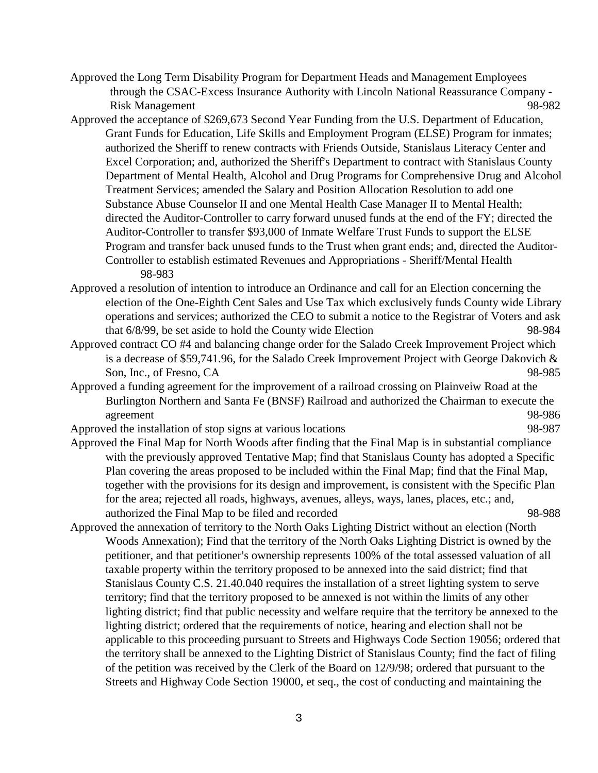- Approved the Long Term Disability Program for Department Heads and Management Employees through the CSAC-Excess Insurance Authority with Lincoln National Reassurance Company - Risk Management 98-982
- Approved the acceptance of \$269,673 Second Year Funding from the U.S. Department of Education, Grant Funds for Education, Life Skills and Employment Program (ELSE) Program for inmates; authorized the Sheriff to renew contracts with Friends Outside, Stanislaus Literacy Center and Excel Corporation; and, authorized the Sheriff's Department to contract with Stanislaus County Department of Mental Health, Alcohol and Drug Programs for Comprehensive Drug and Alcohol Treatment Services; amended the Salary and Position Allocation Resolution to add one Substance Abuse Counselor II and one Mental Health Case Manager II to Mental Health; directed the Auditor-Controller to carry forward unused funds at the end of the FY; directed the Auditor-Controller to transfer \$93,000 of Inmate Welfare Trust Funds to support the ELSE Program and transfer back unused funds to the Trust when grant ends; and, directed the Auditor-Controller to establish estimated Revenues and Appropriations - Sheriff/Mental Health 98-983
- Approved a resolution of intention to introduce an Ordinance and call for an Election concerning the election of the One-Eighth Cent Sales and Use Tax which exclusively funds County wide Library operations and services; authorized the CEO to submit a notice to the Registrar of Voters and ask that 6/8/99, be set aside to hold the County wide Election 98-984
- Approved contract CO #4 and balancing change order for the Salado Creek Improvement Project which is a decrease of \$59,741.96, for the Salado Creek Improvement Project with George Dakovich & Son, Inc., of Fresno, CA 98-985
- Approved a funding agreement for the improvement of a railroad crossing on Plainveiw Road at the Burlington Northern and Santa Fe (BNSF) Railroad and authorized the Chairman to execute the agreement 98-986
- Approved the installation of stop signs at various locations 98-987
- Approved the Final Map for North Woods after finding that the Final Map is in substantial compliance with the previously approved Tentative Map; find that Stanislaus County has adopted a Specific Plan covering the areas proposed to be included within the Final Map; find that the Final Map, together with the provisions for its design and improvement, is consistent with the Specific Plan for the area; rejected all roads, highways, avenues, alleys, ways, lanes, places, etc.; and, authorized the Final Map to be filed and recorded 98-988
- Approved the annexation of territory to the North Oaks Lighting District without an election (North Woods Annexation); Find that the territory of the North Oaks Lighting District is owned by the petitioner, and that petitioner's ownership represents 100% of the total assessed valuation of all taxable property within the territory proposed to be annexed into the said district; find that Stanislaus County C.S. 21.40.040 requires the installation of a street lighting system to serve territory; find that the territory proposed to be annexed is not within the limits of any other lighting district; find that public necessity and welfare require that the territory be annexed to the lighting district; ordered that the requirements of notice, hearing and election shall not be applicable to this proceeding pursuant to Streets and Highways Code Section 19056; ordered that the territory shall be annexed to the Lighting District of Stanislaus County; find the fact of filing of the petition was received by the Clerk of the Board on 12/9/98; ordered that pursuant to the Streets and Highway Code Section 19000, et seq., the cost of conducting and maintaining the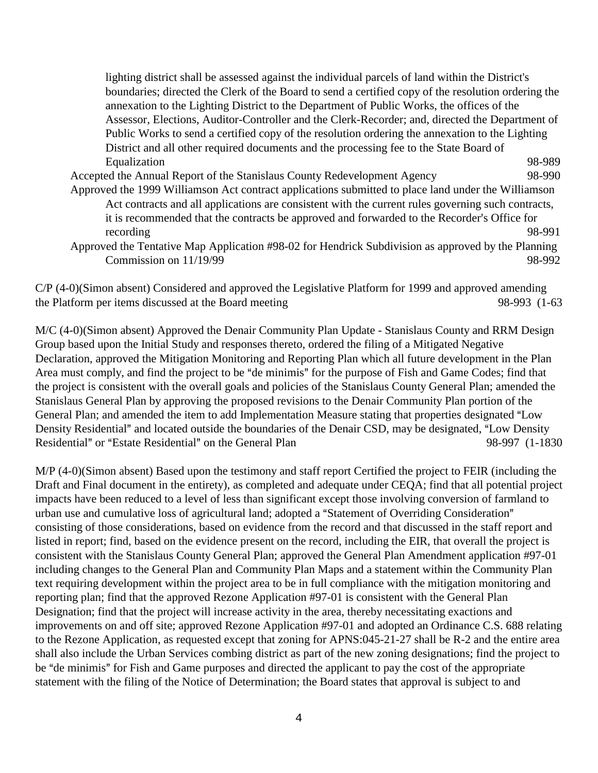lighting district shall be assessed against the individual parcels of land within the District's boundaries; directed the Clerk of the Board to send a certified copy of the resolution ordering the annexation to the Lighting District to the Department of Public Works, the offices of the Assessor, Elections, Auditor-Controller and the Clerk-Recorder; and, directed the Department of Public Works to send a certified copy of the resolution ordering the annexation to the Lighting District and all other required documents and the processing fee to the State Board of Equalization 98-989 Accepted the Annual Report of the Stanislaus County Redevelopment Agency 98-990

- Approved the 1999 Williamson Act contract applications submitted to place land under the Williamson Act contracts and all applications are consistent with the current rules governing such contracts, it is recommended that the contracts be approved and forwarded to the Recorder's Office for recording 98-991
- Approved the Tentative Map Application #98-02 for Hendrick Subdivision as approved by the Planning  $Commission on 11/19/99$  98-992

C/P (4-0)(Simon absent) Considered and approved the Legislative Platform for 1999 and approved amending the Platform per items discussed at the Board meeting 98-993 (1-63

M/C (4-0)(Simon absent) Approved the Denair Community Plan Update - Stanislaus County and RRM Design Group based upon the Initial Study and responses thereto, ordered the filing of a Mitigated Negative Declaration, approved the Mitigation Monitoring and Reporting Plan which all future development in the Plan Area must comply, and find the project to be "de minimis" for the purpose of Fish and Game Codes; find that the project is consistent with the overall goals and policies of the Stanislaus County General Plan; amended the Stanislaus General Plan by approving the proposed revisions to the Denair Community Plan portion of the General Plan; and amended the item to add Implementation Measure stating that properties designated "Low Density Residential" and located outside the boundaries of the Denair CSD, may be designated, "Low Density Residential" or "Estate Residential" on the General Plan 98-997 (1-1830)

M/P (4-0)(Simon absent) Based upon the testimony and staff report Certified the project to FEIR (including the Draft and Final document in the entirety), as completed and adequate under CEQA; find that all potential project impacts have been reduced to a level of less than significant except those involving conversion of farmland to urban use and cumulative loss of agricultural land; adopted a "Statement of Overriding Consideration" consisting of those considerations, based on evidence from the record and that discussed in the staff report and listed in report; find, based on the evidence present on the record, including the EIR, that overall the project is consistent with the Stanislaus County General Plan; approved the General Plan Amendment application #97-01 including changes to the General Plan and Community Plan Maps and a statement within the Community Plan text requiring development within the project area to be in full compliance with the mitigation monitoring and reporting plan; find that the approved Rezone Application #97-01 is consistent with the General Plan Designation; find that the project will increase activity in the area, thereby necessitating exactions and improvements on and off site; approved Rezone Application #97-01 and adopted an Ordinance C.S. 688 relating to the Rezone Application, as requested except that zoning for APNS:045-21-27 shall be R-2 and the entire area shall also include the Urban Services combing district as part of the new zoning designations; find the project to be "de minimis" for Fish and Game purposes and directed the applicant to pay the cost of the appropriate statement with the filing of the Notice of Determination; the Board states that approval is subject to and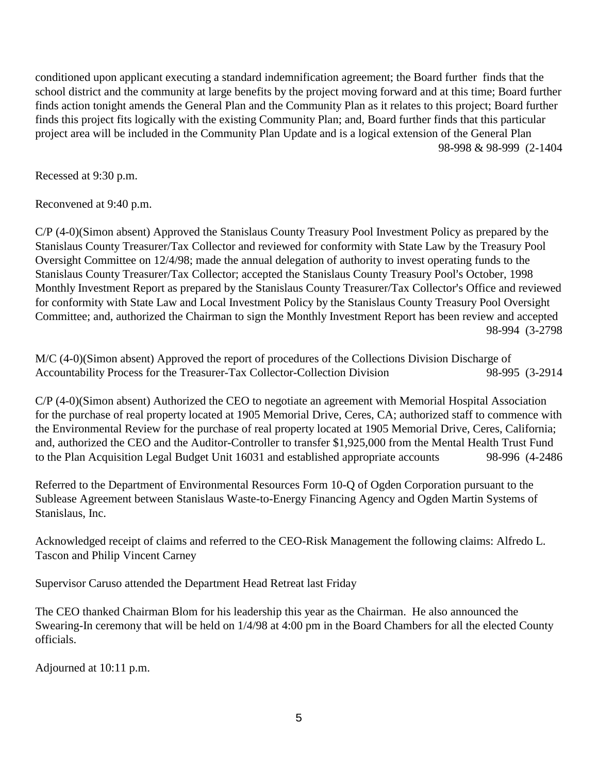conditioned upon applicant executing a standard indemnification agreement; the Board further finds that the school district and the community at large benefits by the project moving forward and at this time; Board further finds action tonight amends the General Plan and the Community Plan as it relates to this project; Board further finds this project fits logically with the existing Community Plan; and, Board further finds that this particular project area will be included in the Community Plan Update and is a logical extension of the General Plan 98-998 & 98-999 (2-1404

Recessed at 9:30 p.m.

Reconvened at 9:40 p.m.

C/P (4-0)(Simon absent) Approved the Stanislaus County Treasury Pool Investment Policy as prepared by the Stanislaus County Treasurer/Tax Collector and reviewed for conformity with State Law by the Treasury Pool Oversight Committee on 12/4/98; made the annual delegation of authority to invest operating funds to the Stanislaus County Treasurer/Tax Collector; accepted the Stanislaus County Treasury Pool's October, 1998 Monthly Investment Report as prepared by the Stanislaus County Treasurer/Tax Collector's Office and reviewed for conformity with State Law and Local Investment Policy by the Stanislaus County Treasury Pool Oversight Committee; and, authorized the Chairman to sign the Monthly Investment Report has been review and accepted 98-994 (3-2798

M/C (4-0)(Simon absent) Approved the report of procedures of the Collections Division Discharge of Accountability Process for the Treasurer-Tax Collector-Collection Division 98-995 (3-2914

C/P (4-0)(Simon absent) Authorized the CEO to negotiate an agreement with Memorial Hospital Association for the purchase of real property located at 1905 Memorial Drive, Ceres, CA; authorized staff to commence with the Environmental Review for the purchase of real property located at 1905 Memorial Drive, Ceres, California; and, authorized the CEO and the Auditor-Controller to transfer \$1,925,000 from the Mental Health Trust Fund to the Plan Acquisition Legal Budget Unit 16031 and established appropriate accounts 98-996 (4-2486

Referred to the Department of Environmental Resources Form 10-Q of Ogden Corporation pursuant to the Sublease Agreement between Stanislaus Waste-to-Energy Financing Agency and Ogden Martin Systems of Stanislaus, Inc.

Acknowledged receipt of claims and referred to the CEO-Risk Management the following claims: Alfredo L. Tascon and Philip Vincent Carney

Supervisor Caruso attended the Department Head Retreat last Friday

The CEO thanked Chairman Blom for his leadership this year as the Chairman. He also announced the Swearing-In ceremony that will be held on 1/4/98 at 4:00 pm in the Board Chambers for all the elected County officials.

Adjourned at 10:11 p.m.